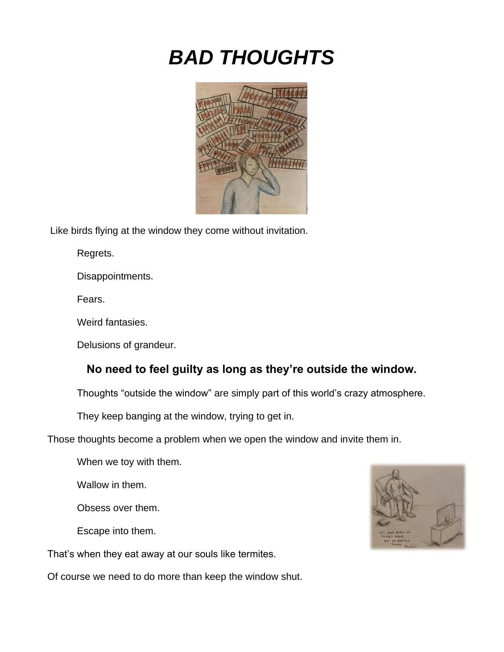## *BAD THOUGHTS*



Like birds flying at the window they come without invitation.

Regrets.

Disappointments.

Fears.

Weird fantasies.

Delusions of grandeur.

## **No need to feel guilty as long as they're outside the window.**

Thoughts "outside the window" are simply part of this world's crazy atmosphere.

They keep banging at the window, trying to get in.

Those thoughts become a problem when we open the window and invite them in.

When we toy with them.

Wallow in them.

Obsess over them.

Escape into them.

That's when they eat away at our souls like termites.

Of course we need to do more than keep the window shut.

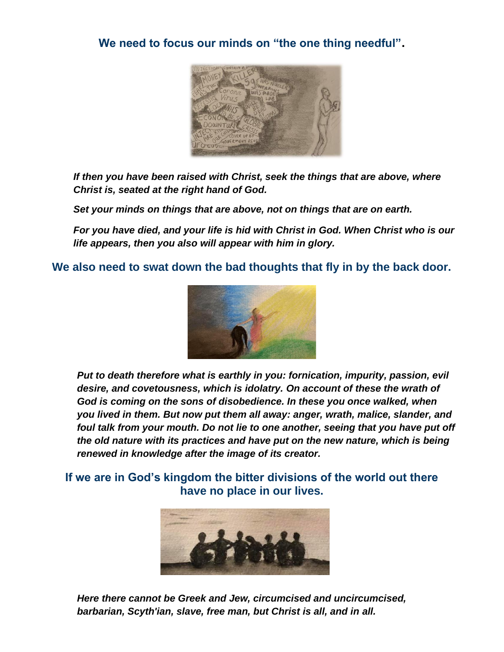**We need to focus our minds on "the one thing needful".**



*If then you have been raised with Christ, seek the things that are above, where Christ is, seated at the right hand of God.*

*Set your minds on things that are above, not on things that are on earth.*

*For you have died, and your life is hid with Christ in God. When Christ who is our life appears, then you also will appear with him in glory.*

**We also need to swat down the bad thoughts that fly in by the back door.**



*Put to death therefore what is earthly in you: fornication, impurity, passion, evil desire, and covetousness, which is idolatry. On account of these the wrath of God is coming on the sons of disobedience. In these you once walked, when you lived in them. But now put them all away: anger, wrath, malice, slander, and foul talk from your mouth. Do not lie to one another, seeing that you have put off the old nature with its practices and have put on the new nature, which is being renewed in knowledge after the image of its creator.*

**If we are in God's kingdom the bitter divisions of the world out there have no place in our lives.**



*Here there cannot be Greek and Jew, circumcised and uncircumcised, barbarian, Scyth'ian, slave, free man, but Christ is all, and in all.*